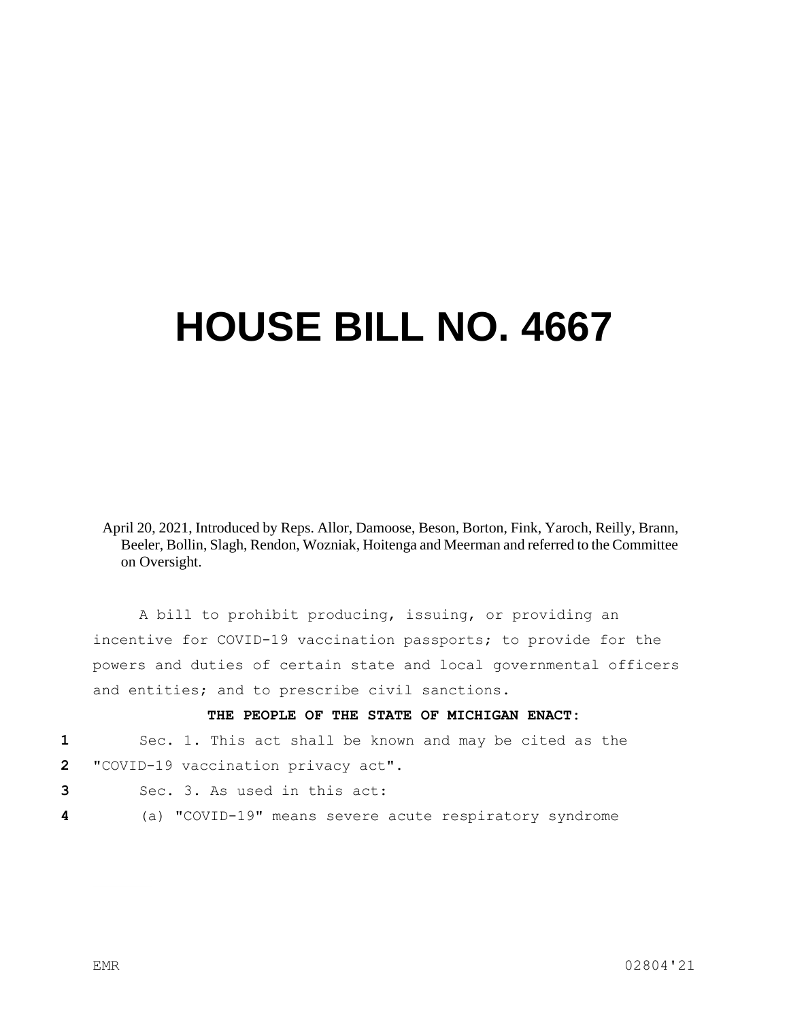## **HOUSE BILL NO. 4667**

April 20, 2021, Introduced by Reps. Allor, Damoose, Beson, Borton, Fink, Yaroch, Reilly, Brann, Beeler, Bollin, Slagh, Rendon, Wozniak, Hoitenga and Meerman and referred to the Committee on Oversight.

A bill to prohibit producing, issuing, or providing an incentive for COVID-19 vaccination passports; to provide for the powers and duties of certain state and local governmental officers and entities; and to prescribe civil sanctions.

## **THE PEOPLE OF THE STATE OF MICHIGAN ENACT:**

**1** Sec. 1. This act shall be known and may be cited as the

- **2** "COVID-19 vaccination privacy act".
- **3** Sec. 3. As used in this act:
- **4** (a) "COVID-19" means severe acute respiratory syndrome